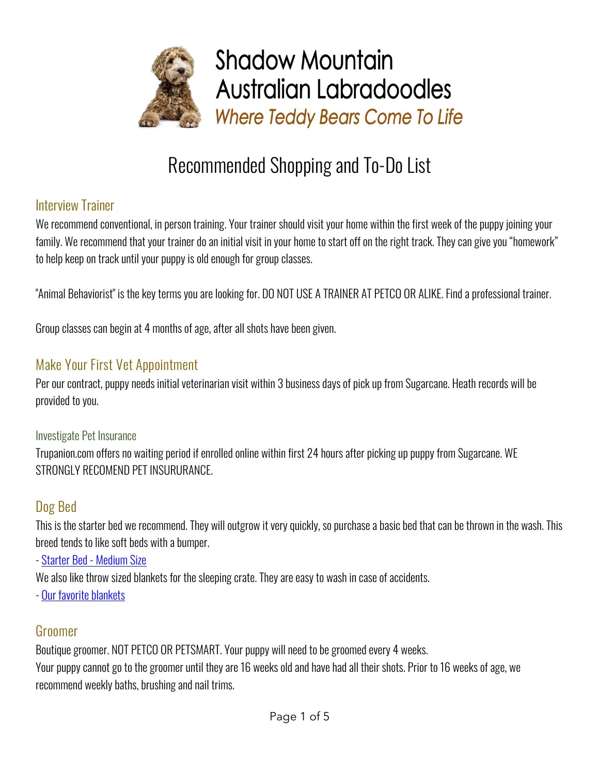

# Recommended Shopping and To-Do List

#### Interview Trainer

We recommend conventional, in person training. Your trainer should visit your home within the first week of the puppy joining your family. We recommend that your trainer do an initial visit in your home to start off on the right track. They can give you "homework" to help keep on track until your puppy is old enough for group classes.

"Animal Behaviorist" is the key terms you are looking for. DO NOT USE A TRAINER AT PETCO OR ALIKE. Find a professional trainer.

Group classes can begin at 4 months of age, after all shots have been given.

# Make Your First Vet Appointment

Per our contract, puppy needs initial veterinarian visit within 3 business days of pick up from Sugarcane. Heath records will be provided to you.

#### Investigate Pet Insurance

Trupanion.com offers no waiting period if enrolled online within first 24 hours after picking up puppy from Sugarcane. WE STRONGLY RECOMEND PET INSURURANCE.

# Dog Bed

This is the starter bed we recommend. They will outgrow it very quickly, so purchase a basic bed that can be thrown in the wash. This breed tends to like soft beds with a bumper.

- Starter Bed - Medium Size

We also like throw sized blankets for the sleeping crate. They are easy to wash in case of accidents.

- Our favorite blankets

# Groomer

Boutique groomer. NOT PETCO OR PETSMART. Your puppy will need to be groomed every 4 weeks. Your puppy cannot go to the groomer until they are 16 weeks old and have had all their shots. Prior to 16 weeks of age, we recommend weekly baths, brushing and nail trims.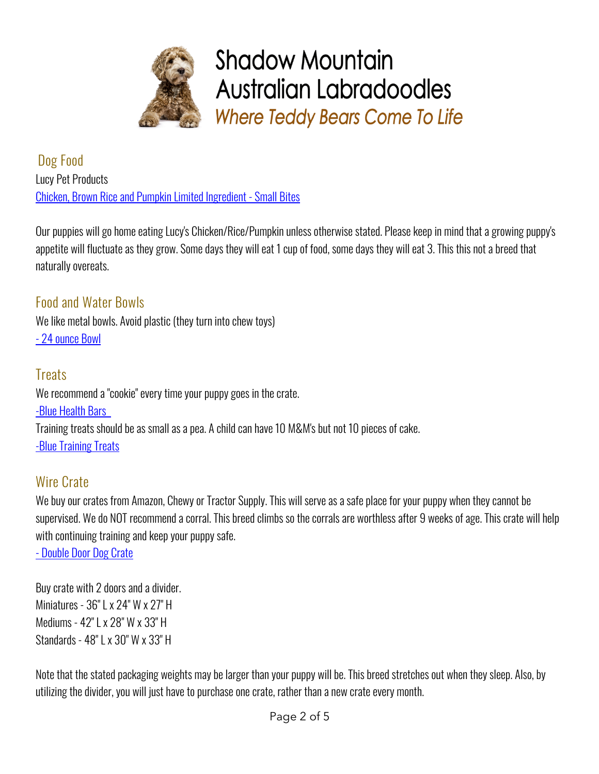

Dog Food Lucy Pet Products Chicken, Brown Rice and Pumpkin Limited Ingredient - Small Bites

Our puppies will go home eating Lucy's Chicken/Rice/Pumpkin unless otherwise stated. Please keep in mind that a growing puppy's appetite will fluctuate as they grow. Some days they will eat 1 cup of food, some days they will eat 3. This this not a breed that naturally overeats.

Food and Water Bowls We like metal bowls. Avoid plastic (they turn into chew toys) - 24 ounce Bowl

#### **Treats**

We recommend a "cookie" every time your puppy goes in the crate. -Blue Health Bars Training treats should be as small as a pea. A child can have 10 M&M's but not 10 pieces of cake. -Blue Training Treats

# Wire Crate

We buy our crates from Amazon, Chewy or Tractor Supply. This will serve as a safe place for your puppy when they cannot be supervised. We do NOT recommend a corral. This breed climbs so the corrals are worthless after 9 weeks of age. This crate will help with continuing training and keep your puppy safe.

- Double Door Dog Crate

Buy crate with 2 doors and a divider. Miniatures - 36" L x 24" W x 27" H Mediums - 42" L x 28" W x 33" H Standards - 48" L x 30" W x 33" H

Note that the stated packaging weights may be larger than your puppy will be. This breed stretches out when they sleep. Also, by utilizing the divider, you will just have to purchase one crate, rather than a new crate every month.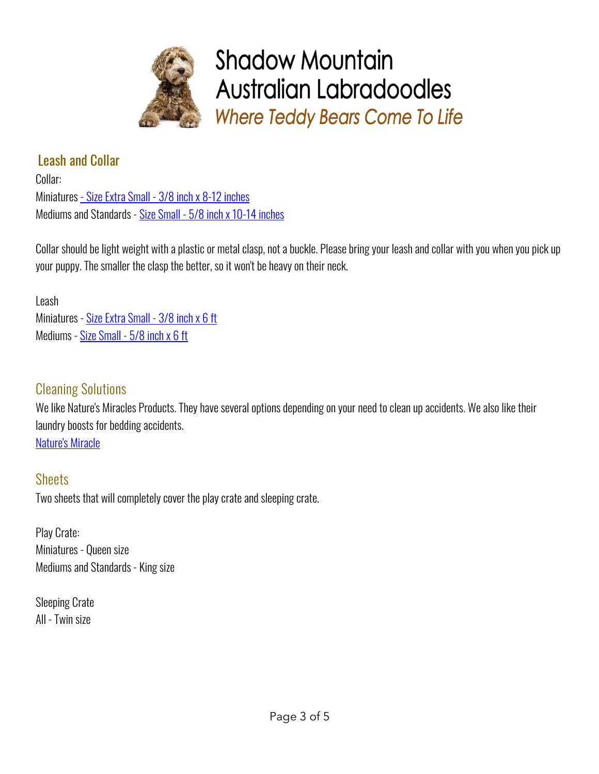

### Leash and Collar

Collar: Miniatures - Size Extra Small - 3/8 inch x 8-12 inches Mediums and Standards - Size Small - 5/8 inch x 10-14 inches

Collar should be light weight with a plastic or metal clasp, not a buckle. Please bring your leash and collar with you when you pick up your puppy. The smaller the clasp the better, so it won't be heavy on their neck.

Leash Miniatures - Size Extra Small - 3/8 inch x 6 ft Mediums - Size Small - 5/8 inch x 6 ft

#### Cleaning Solutions

We like Nature's Miracles Products. They have several options depending on your need to clean up accidents. We also like their laundry boosts for bedding accidents. Nature's Miracle

#### **Sheets**

Two sheets that will completely cover the play crate and sleeping crate.

Play Crate: Miniatures - Queen size Mediums and Standards - King size

Sleeping Crate All - Twin size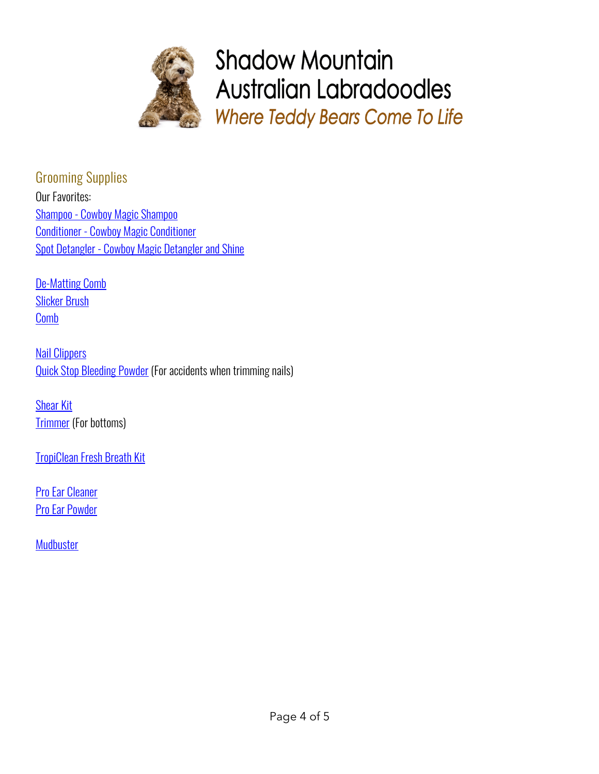

Grooming Supplies Our Favorites: Shampoo - Cowboy Magic Shampoo Conditioner - Cowboy Magic Conditioner Spot Detangler - Cowboy Magic Detangler and Shine

De-Matting Comb Slicker Brush Comb

**Nail Clippers** Quick Stop Bleeding Powder (For accidents when trimming nails)

**Shear Kit Trimmer** (For bottoms)

TropiClean Fresh Breath Kit

**Pro Ear Cleaner** Pro Ear Powder

**Mudbuster**